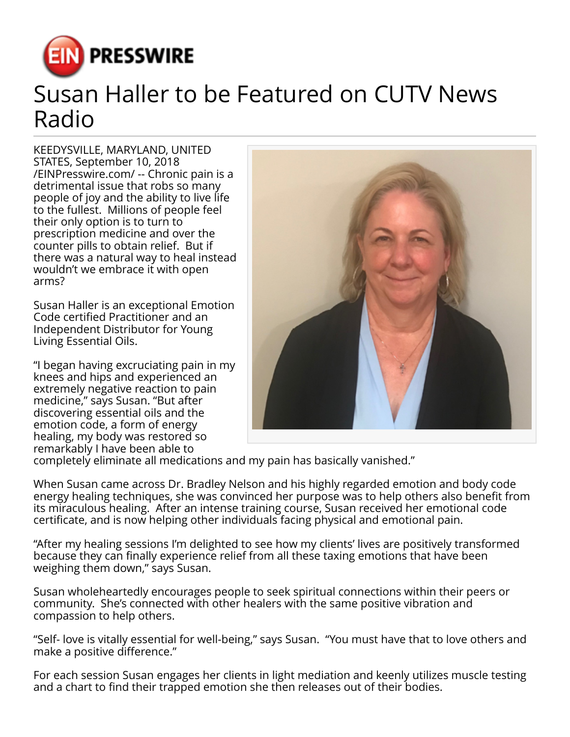

## Susan Haller to be Featured on CUTV News Radio

KEEDYSVILLE, MARYLAND, UNITED STATES, September 10, 2018 [/EINPresswire.com/](http://www.einpresswire.com) -- Chronic pain is a detrimental issue that robs so many people of joy and the ability to live life to the fullest. Millions of people feel their only option is to turn to prescription medicine and over the counter pills to obtain relief. But if there was a natural way to heal instead wouldn't we embrace it with open arms?

Susan Haller is an exceptional Emotion Code certified Practitioner and an Independent Distributor for Young Living Essential Oils.

"I began having excruciating pain in my knees and hips and experienced an extremely negative reaction to pain medicine," says Susan. "But after discovering essential oils and the emotion code, a form of energy healing, my body was restored so remarkably I have been able to



completely eliminate all medications and my pain has basically vanished."

When Susan came across Dr. Bradley Nelson and his highly regarded emotion and body code energy healing techniques, she was convinced her purpose was to help others also benefit from its miraculous healing. After an intense training course, Susan received her emotional code certificate, and is now helping other individuals facing physical and emotional pain.

"After my healing sessions I'm delighted to see how my clients' lives are positively transformed because they can finally experience relief from all these taxing emotions that have been weighing them down," says Susan.

Susan wholeheartedly encourages people to seek spiritual connections within their peers or community. She's connected with other healers with the same positive vibration and compassion to help others.

"Self- love is vitally essential for well-being," says Susan. "You must have that to love others and make a positive difference."

For each session Susan engages her clients in light mediation and keenly utilizes muscle testing and a chart to find their trapped emotion she then releases out of their bodies.